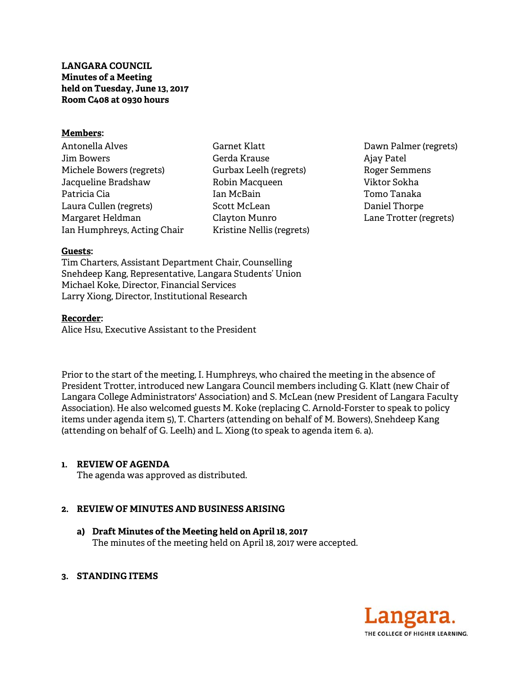**LANGARA COUNCIL Minutes of a Meeting held on Tuesday, June 13, 2017 Room C408 at 0930 hours** 

### **Members:**

Antonella Alves Jim Bowers Michele Bowers (regrets) Jacqueline Bradshaw Patricia Cia Laura Cullen (regrets) Margaret Heldman Ian Humphreys, Acting Chair Garnet Klatt Gerda Krause Gurbax Leelh (regrets) Robin Macqueen Ian McBain Scott McLean Clayton Munro Kristine Nellis (regrets)

Dawn Palmer (regrets) Ajay Patel Roger Semmens Viktor Sokha Tomo Tanaka Daniel Thorpe Lane Trotter (regrets)

### **Guests:**

Tim Charters, Assistant Department Chair, Counselling Snehdeep Kang, Representative, Langara Students' Union Michael Koke, Director, Financial Services Larry Xiong, Director, Institutional Research

### **Recorder:**

Alice Hsu, Executive Assistant to the President

Prior to the start of the meeting, I. Humphreys, who chaired the meeting in the absence of President Trotter, introduced new Langara Council members including G. Klatt (new Chair of Langara College Administrators' Association) and S. McLean (new President of Langara Faculty Association). He also welcomed guests M. Koke (replacing C. Arnold-Forster to speak to policy items under agenda item 5), T. Charters (attending on behalf of M. Bowers), Snehdeep Kang (attending on behalf of G. Leelh) and L. Xiong (to speak to agenda item 6. a).

## **1. REVIEW OF AGENDA**

The agenda was approved as distributed.

## **2. REVIEW OF MINUTES AND BUSINESS ARISING**

- **a) Draft Minutes of the Meeting held on April 18, 2017**  The minutes of the meeting held on April 18, 2017 were accepted.
- **3. STANDING ITEMS**

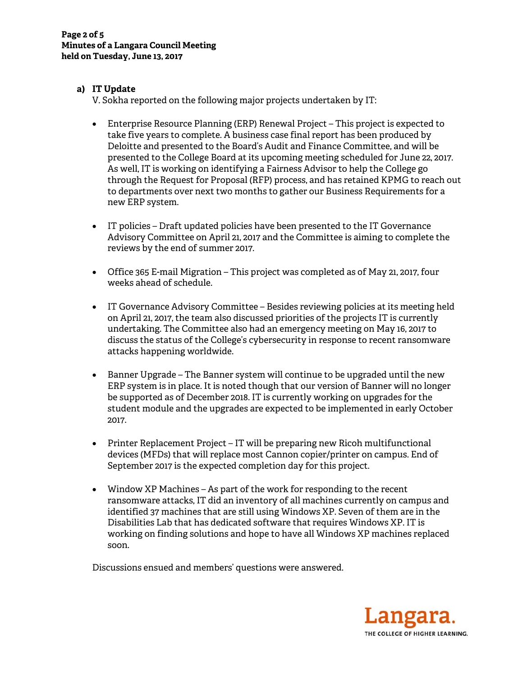# **a) IT Update**

V. Sokha reported on the following major projects undertaken by IT:

- Enterprise Resource Planning (ERP) Renewal Project This project is expected to take five years to complete. A business case final report has been produced by Deloitte and presented to the Board's Audit and Finance Committee, and will be presented to the College Board at its upcoming meeting scheduled for June 22, 2017. As well, IT is working on identifying a Fairness Advisor to help the College go through the Request for Proposal (RFP) process, and has retained KPMG to reach out to departments over next two months to gather our Business Requirements for a new ERP system.
- IT policies Draft updated policies have been presented to the IT Governance Advisory Committee on April 21, 2017 and the Committee is aiming to complete the reviews by the end of summer 2017.
- Office 365 E-mail Migration This project was completed as of May 21, 2017, four weeks ahead of schedule.
- IT Governance Advisory Committee Besides reviewing policies at its meeting held on April 21, 2017, the team also discussed priorities of the projects IT is currently undertaking. The Committee also had an emergency meeting on May 16, 2017 to discuss the status of the College's cybersecurity in response to recent ransomware attacks happening worldwide.
- Banner Upgrade The Banner system will continue to be upgraded until the new ERP system is in place. It is noted though that our version of Banner will no longer be supported as of December 2018. IT is currently working on upgrades for the student module and the upgrades are expected to be implemented in early October 2017.
- Printer Replacement Project IT will be preparing new Ricoh multifunctional devices (MFDs) that will replace most Cannon copier/printer on campus. End of September 2017 is the expected completion day for this project.
- Window XP Machines As part of the work for responding to the recent ransomware attacks, IT did an inventory of all machines currently on campus and identified 37 machines that are still using Windows XP. Seven of them are in the Disabilities Lab that has dedicated software that requires Windows XP. IT is working on finding solutions and hope to have all Windows XP machines replaced soon.

Discussions ensued and members' questions were answered.

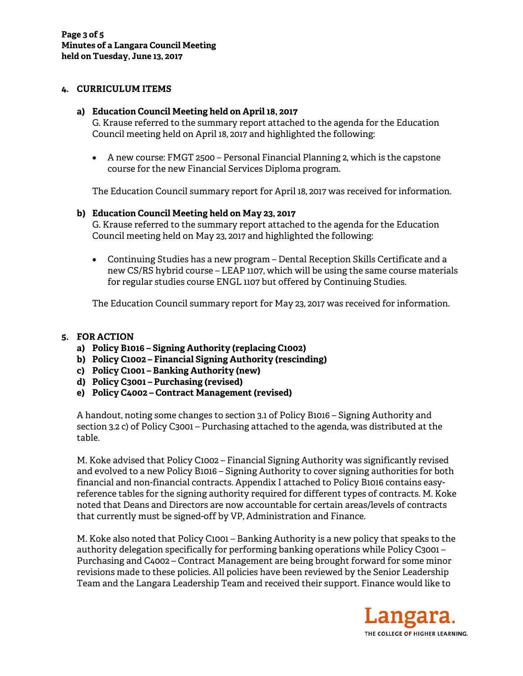### **4. CURRICULUM ITEMS**

#### **a) Education Council Meeting held on April 18, 2017**

G. Krause referred to the summary report attached to the agenda for the Education Council meeting held on April 18, 2017 and highlighted the following:

 A new course: FMGT 2500 – Personal Financial Planning 2, which is the capstone course for the new Financial Services Diploma program.

The Education Council summary report for April 18, 2017 was received for information.

### **b) Education Council Meeting held on May 23, 2017**

G. Krause referred to the summary report attached to the agenda for the Education Council meeting held on May 23, 2017 and highlighted the following:

 Continuing Studies has a new program – Dental Reception Skills Certificate and a new CS/RS hybrid course – LEAP 1107, which will be using the same course materials for regular studies course ENGL 1107 but offered by Continuing Studies.

The Education Council summary report for May 23, 2017 was received for information.

### **5. FOR ACTION**

- **a) Policy B1016 Signing Authority (replacing C1002)**
- **b) Policy C1002 Financial Signing Authority (rescinding)**
- **c) Policy C1001 Banking Authority (new)**
- **d) Policy C3001 Purchasing (revised)**
- **e) Policy C4002 Contract Management (revised)**

A handout, noting some changes to section 3.1 of Policy B1016 – Signing Authority and section 3.2 c) of Policy C3001 – Purchasing attached to the agenda, was distributed at the table.

M. Koke advised that Policy C1002 – Financial Signing Authority was significantly revised and evolved to a new Policy B1016 – Signing Authority to cover signing authorities for both financial and non-financial contracts. Appendix I attached to Policy B1016 contains easyreference tables for the signing authority required for different types of contracts. M. Koke noted that Deans and Directors are now accountable for certain areas/levels of contracts that currently must be signed-off by VP, Administration and Finance.

M. Koke also noted that Policy C1001 – Banking Authority is a new policy that speaks to the authority delegation specifically for performing banking operations while Policy C3001 – Purchasing and C4002 – Contract Management are being brought forward for some minor revisions made to these policies. All policies have been reviewed by the Senior Leadership Team and the Langara Leadership Team and received their support. Finance would like to

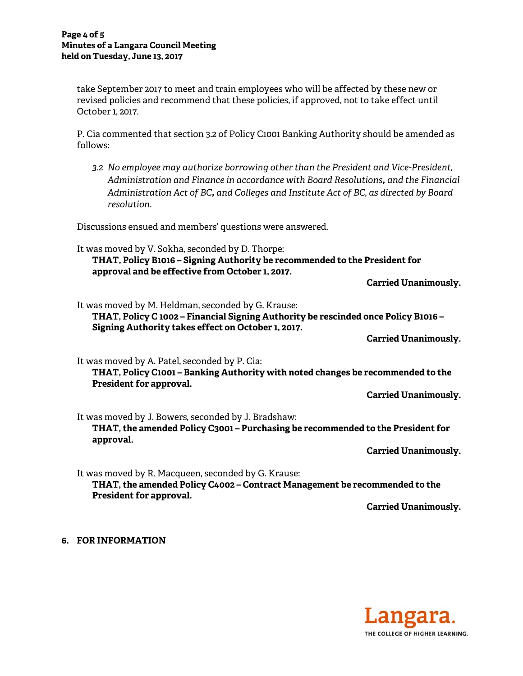take September 2017 to meet and train employees who will be affected by these new or revised policies and recommend that these policies, if approved, not to take effect until October 1, 2017.

P. Cia commented that section 3.2 of Policy C1001 Banking Authority should be amended as follows:

*3.2 No employee may authorize borrowing other than the President and Vice-President, Administration and Finance in accordance with Board Resolutions, and the Financial Administration Act of BC, and Colleges and Institute Act of BC, as directed by Board resolution.*

Discussions ensued and members' questions were answered.

It was moved by V. Sokha, seconded by D. Thorpe: **THAT, Policy B1016 – Signing Authority be recommended to the President for approval and be effective from October 1, 2017.** 

**Carried Unanimously.** 

It was moved by M. Heldman, seconded by G. Krause: **THAT, Policy C 1002 – Financial Signing Authority be rescinded once Policy B1016 – Signing Authority takes effect on October 1, 2017.** 

**Carried Unanimously.** 

It was moved by A. Patel, seconded by P. Cia: **THAT, Policy C1001 – Banking Authority with noted changes be recommended to the President for approval.** 

**Carried Unanimously.** 

It was moved by J. Bowers, seconded by J. Bradshaw: **THAT, the amended Policy C3001 – Purchasing be recommended to the President for approval.** 

**Carried Unanimously.** 

It was moved by R. Macqueen, seconded by G. Krause: **THAT, the amended Policy C4002 – Contract Management be recommended to the President for approval.** 

**Carried Unanimously.** 

**6. FOR INFORMATION**